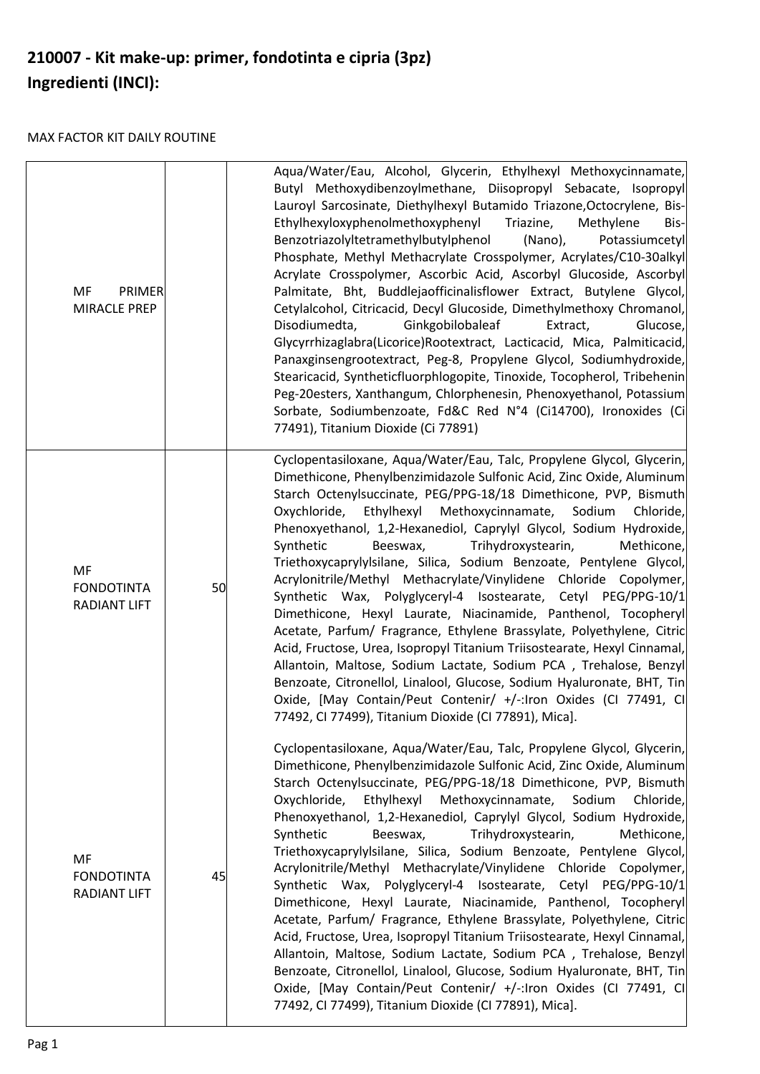## **210007 - Kit make-up: primer, fondotinta e cipria (3pz) Ingredienti (INCI):**

## MAX FACTOR KIT DAILY ROUTINE

| MF<br>PRIMER<br>MIRACLE PREP                   |    | Aqua/Water/Eau, Alcohol, Glycerin, Ethylhexyl Methoxycinnamate,<br>Butyl Methoxydibenzoylmethane, Diisopropyl Sebacate, Isopropyl<br>Lauroyl Sarcosinate, Diethylhexyl Butamido Triazone, Octocrylene, Bis-<br>Ethylhexyloxyphenolmethoxyphenyl<br>Triazine,<br>Methylene<br>Bis-<br>Benzotriazolyltetramethylbutylphenol<br>(Nano),<br>Potassiumcetyl<br>Phosphate, Methyl Methacrylate Crosspolymer, Acrylates/C10-30alkyl<br>Acrylate Crosspolymer, Ascorbic Acid, Ascorbyl Glucoside, Ascorbyl<br>Palmitate, Bht, Buddlejaofficinalisflower Extract, Butylene Glycol,<br>Cetylalcohol, Citricacid, Decyl Glucoside, Dimethylmethoxy Chromanol,<br>Disodiumedta,<br>Ginkgobilobaleaf<br>Extract,<br>Glucose,<br>Glycyrrhizaglabra(Licorice)Rootextract, Lacticacid, Mica, Palmiticacid,<br>Panaxginsengrootextract, Peg-8, Propylene Glycol, Sodiumhydroxide,<br>Stearicacid, Syntheticfluorphlogopite, Tinoxide, Tocopherol, Tribehenin<br>Peg-20esters, Xanthangum, Chlorphenesin, Phenoxyethanol, Potassium<br>Sorbate, Sodiumbenzoate, Fd&C Red N°4 (Ci14700), Ironoxides (Ci<br>77491), Titanium Dioxide (Ci 77891)                |
|------------------------------------------------|----|--------------------------------------------------------------------------------------------------------------------------------------------------------------------------------------------------------------------------------------------------------------------------------------------------------------------------------------------------------------------------------------------------------------------------------------------------------------------------------------------------------------------------------------------------------------------------------------------------------------------------------------------------------------------------------------------------------------------------------------------------------------------------------------------------------------------------------------------------------------------------------------------------------------------------------------------------------------------------------------------------------------------------------------------------------------------------------------------------------------------------------------------|
| MF<br><b>FONDOTINTA</b><br><b>RADIANT LIFT</b> | 50 | Cyclopentasiloxane, Aqua/Water/Eau, Talc, Propylene Glycol, Glycerin,<br>Dimethicone, Phenylbenzimidazole Sulfonic Acid, Zinc Oxide, Aluminum<br>Starch Octenylsuccinate, PEG/PPG-18/18 Dimethicone, PVP, Bismuth<br>Oxychloride,<br>Ethylhexyl Methoxycinnamate,<br>Sodium<br>Chloride,<br>Phenoxyethanol, 1,2-Hexanediol, Caprylyl Glycol, Sodium Hydroxide,<br>Synthetic<br>Beeswax,<br>Trihydroxystearin,<br>Methicone,<br>Triethoxycaprylylsilane, Silica, Sodium Benzoate, Pentylene Glycol,<br>Acrylonitrile/Methyl Methacrylate/Vinylidene Chloride Copolymer,<br>Synthetic Wax, Polyglyceryl-4 Isostearate, Cetyl PEG/PPG-10/1<br>Dimethicone, Hexyl Laurate, Niacinamide, Panthenol, Tocopheryl<br>Acetate, Parfum/ Fragrance, Ethylene Brassylate, Polyethylene, Citric<br>Acid, Fructose, Urea, Isopropyl Titanium Triisostearate, Hexyl Cinnamal,<br>Allantoin, Maltose, Sodium Lactate, Sodium PCA, Trehalose, Benzyl<br>Benzoate, Citronellol, Linalool, Glucose, Sodium Hyaluronate, BHT, Tin<br>Oxide, [May Contain/Peut Contenir/ +/-:Iron Oxides (CI 77491, CI<br>77492, CI 77499), Titanium Dioxide (CI 77891), Mica]. |
| MF<br><b>FONDOTINTA</b><br><b>RADIANT LIFT</b> | 45 | Cyclopentasiloxane, Aqua/Water/Eau, Talc, Propylene Glycol, Glycerin,<br>Dimethicone, Phenylbenzimidazole Sulfonic Acid, Zinc Oxide, Aluminum<br>Starch Octenylsuccinate, PEG/PPG-18/18 Dimethicone, PVP, Bismuth<br>Oxychloride,<br>Ethylhexyl Methoxycinnamate,<br>Sodium<br>Chloride,<br>Phenoxyethanol, 1,2-Hexanediol, Caprylyl Glycol, Sodium Hydroxide,<br>Synthetic<br>Trihydroxystearin,<br>Methicone,<br>Beeswax,<br>Triethoxycaprylylsilane, Silica, Sodium Benzoate, Pentylene Glycol,<br>Acrylonitrile/Methyl Methacrylate/Vinylidene Chloride Copolymer,<br>Synthetic Wax, Polyglyceryl-4 Isostearate, Cetyl PEG/PPG-10/1<br>Dimethicone, Hexyl Laurate, Niacinamide, Panthenol, Tocopheryl<br>Acetate, Parfum/ Fragrance, Ethylene Brassylate, Polyethylene, Citric<br>Acid, Fructose, Urea, Isopropyl Titanium Triisostearate, Hexyl Cinnamal,<br>Allantoin, Maltose, Sodium Lactate, Sodium PCA, Trehalose, Benzyl<br>Benzoate, Citronellol, Linalool, Glucose, Sodium Hyaluronate, BHT, Tin<br>Oxide, [May Contain/Peut Contenir/ +/-:Iron Oxides (CI 77491, CI<br>77492, CI 77499), Titanium Dioxide (CI 77891), Mica]. |